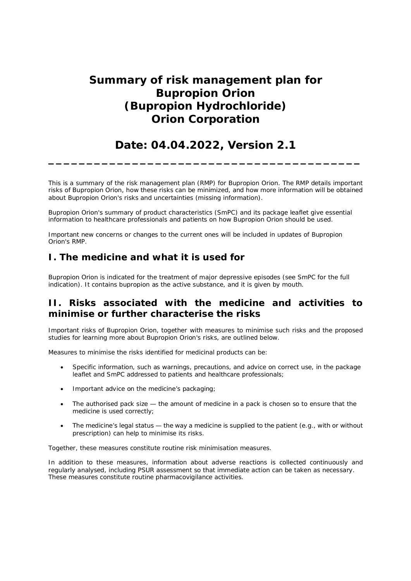# **Summary of risk management plan for Bupropion Orion (Bupropion Hydrochloride) Orion Corporation**

# **Date: 04.04.2022, Version 2.1**

**\_\_\_\_\_\_\_\_\_\_\_\_\_\_\_\_\_\_\_\_\_\_\_\_\_\_\_\_\_\_\_\_\_\_\_\_\_\_\_\_\_**

This is a summary of the risk management plan (RMP) for Bupropion Orion. The RMP details important risks of Bupropion Orion, how these risks can be minimized, and how more information will be obtained about Bupropion Orion's risks and uncertainties (missing information).

Bupropion Orion's summary of product characteristics (SmPC) and its package leaflet give essential information to healthcare professionals and patients on how Bupropion Orion should be used.

Important new concerns or changes to the current ones will be included in updates of Bupropion Orion's RMP.

## **I. The medicine and what it is used for**

Bupropion Orion is indicated for the treatment of major depressive episodes (see SmPC for the full indication). It contains bupropion as the active substance, and it is given by mouth.

## **II. Risks associated with the medicine and activities to minimise or further characterise the risks**

Important risks of Bupropion Orion, together with measures to minimise such risks and the proposed studies for learning more about Bupropion Orion's risks, are outlined below.

Measures to minimise the risks identified for medicinal products can be:

- Specific information, such as warnings, precautions, and advice on correct use, in the package leaflet and SmPC addressed to patients and healthcare professionals;
- Important advice on the medicine's packaging;
- The authorised pack size the amount of medicine in a pack is chosen so to ensure that the medicine is used correctly;
- The medicine's legal status the way a medicine is supplied to the patient (e.g., with or without prescription) can help to minimise its risks.

Together, these measures constitute routine risk minimisation measures.

In addition to these measures, information about adverse reactions is collected continuously and regularly analysed, including PSUR assessment so that immediate action can be taken as necessary. These measures constitute *routine pharmacovigilance activities*.